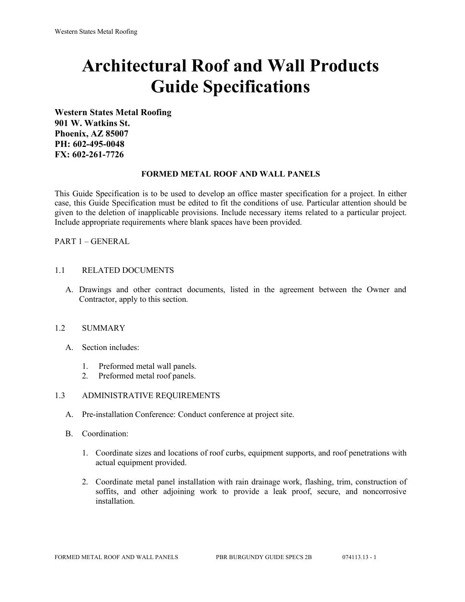# **Architectural Roof and Wall Products Guide Specifications**

**Western States Metal Roofing 901 W. Watkins St. Phoenix, AZ 85007 PH: 602-495-0048 FX: 602-261-7726**

## **FORMED METAL ROOF AND WALL PANELS**

This Guide Specification is to be used to develop an office master specification for a project. In either case, this Guide Specification must be edited to fit the conditions of use. Particular attention should be given to the deletion of inapplicable provisions. Include necessary items related to a particular project. Include appropriate requirements where blank spaces have been provided.

PART 1 – GENERAL

## 1.1 RELATED DOCUMENTS

A. Drawings and other contract documents, listed in the agreement between the Owner and Contractor, apply to this section.

## 1.2 SUMMARY

- A. Section includes:
	- 1. Preformed metal wall panels.
	- 2. Preformed metal roof panels.

### 1.3 ADMINISTRATIVE REQUIREMENTS

- A. Pre-installation Conference: Conduct conference at project site.
- B. Coordination:
	- 1. Coordinate sizes and locations of roof curbs, equipment supports, and roof penetrations with actual equipment provided.
	- 2. Coordinate metal panel installation with rain drainage work, flashing, trim, construction of soffits, and other adjoining work to provide a leak proof, secure, and noncorrosive installation.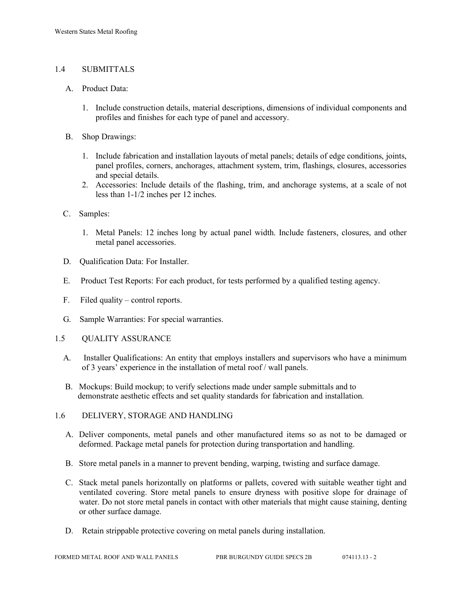# 1.4 SUBMITTALS

- A. Product Data:
	- 1. Include construction details, material descriptions, dimensions of individual components and profiles and finishes for each type of panel and accessory.
- B. Shop Drawings:
	- 1. Include fabrication and installation layouts of metal panels; details of edge conditions, joints, panel profiles, corners, anchorages, attachment system, trim, flashings, closures, accessories and special details.
	- 2. Accessories: Include details of the flashing, trim, and anchorage systems, at a scale of not less than 1-1/2 inches per 12 inches.
- C. Samples:
	- 1. Metal Panels: 12 inches long by actual panel width. Include fasteners, closures, and other metal panel accessories.
- D. Qualification Data: For Installer.
- E. Product Test Reports: For each product, for tests performed by a qualified testing agency.
- F. Filed quality control reports.
- G. Sample Warranties: For special warranties.
- 1.5 QUALITY ASSURANCE
	- A. Installer Qualifications: An entity that employs installers and supervisors who have a minimum of 3 years' experience in the installation of metal roof / wall panels.
	- B. Mockups: Build mockup; to verify selections made under sample submittals and to demonstrate aesthetic effects and set quality standards for fabrication and installation.
- 1.6 DELIVERY, STORAGE AND HANDLING
	- A. Deliver components, metal panels and other manufactured items so as not to be damaged or deformed. Package metal panels for protection during transportation and handling.
	- B. Store metal panels in a manner to prevent bending, warping, twisting and surface damage.
	- C. Stack metal panels horizontally on platforms or pallets, covered with suitable weather tight and ventilated covering. Store metal panels to ensure dryness with positive slope for drainage of water. Do not store metal panels in contact with other materials that might cause staining, denting or other surface damage.
	- D. Retain strippable protective covering on metal panels during installation.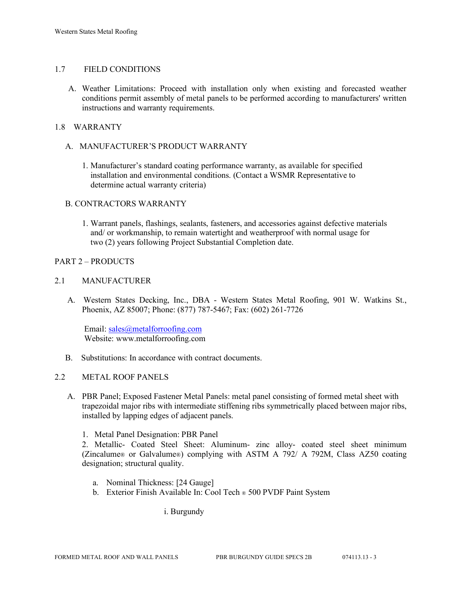# 1.7 FIELD CONDITIONS

A. Weather Limitations: Proceed with installation only when existing and forecasted weather conditions permit assembly of metal panels to be performed according to manufacturers' written instructions and warranty requirements.

# 1.8 WARRANTY

# A. MANUFACTURER'S PRODUCT WARRANTY

1. Manufacturer's standard coating performance warranty, as available for specified installation and environmental conditions. (Contact a WSMR Representative to determine actual warranty criteria)

## B. CONTRACTORS WARRANTY

1. Warrant panels, flashings, sealants, fasteners, and accessories against defective materials and/ or workmanship, to remain watertight and weatherproof with normal usage for two (2) years following Project Substantial Completion date.

## PART 2 – PRODUCTS

## 2.1 MANUFACTURER

 A. Western States Decking, Inc., DBA - Western States Metal Roofing, 901 W. Watkins St., Phoenix, AZ 85007; Phone: (877) 787-5467; Fax: (602) 261-7726

Email: [sales@metalforroofing.com](mailto:sales@metalforroofing.com) Website: www.metalforroofing.com

B. Substitutions: In accordance with contract documents.

# 2.2 METAL ROOF PANELS

- A. PBR Panel; Exposed Fastener Metal Panels: metal panel consisting of formed metal sheet with trapezoidal major ribs with intermediate stiffening ribs symmetrically placed between major ribs, installed by lapping edges of adjacent panels.
	- 1. Metal Panel Designation: PBR Panel

2. Metallic- Coated Steel Sheet: Aluminum- zinc alloy- coated steel sheet minimum (Zincalume® or Galvalume®) complying with ASTM A 792/ A 792M, Class AZ50 coating designation; structural quality.

- a. Nominal Thickness: [24 Gauge]
- b. Exterior Finish Available In: Cool Tech ® 500 PVDF Paint System

i. Burgundy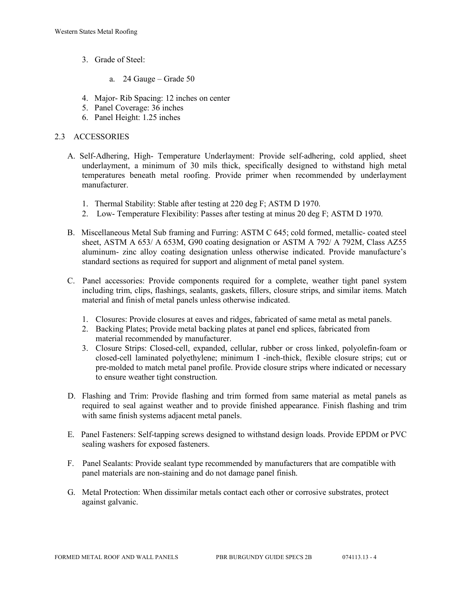- 3. Grade of Steel:
	- a. 24 Gauge Grade 50
- 4. Major- Rib Spacing: 12 inches on center
- 5. Panel Coverage: 36 inches
- 6. Panel Height: 1.25 inches

# 2.3 ACCESSORIES

- A. Self-Adhering, High- Temperature Underlayment: Provide self-adhering, cold applied, sheet underlayment, a minimum of 30 mils thick, specifically designed to withstand high metal temperatures beneath metal roofing. Provide primer when recommended by underlayment manufacturer.
	- 1. Thermal Stability: Stable after testing at 220 deg F; ASTM D 1970.
	- 2. Low- Temperature Flexibility: Passes after testing at minus 20 deg F; ASTM D 1970.
- B. Miscellaneous Metal Sub framing and Furring: ASTM C 645; cold formed, metallic- coated steel sheet, ASTM A 653/ A 653M, G90 coating designation or ASTM A 792/ A 792M, Class AZ55 aluminum- zinc alloy coating designation unless otherwise indicated. Provide manufacture's standard sections as required for support and alignment of metal panel system.
- C. Panel accessories: Provide components required for a complete, weather tight panel system including trim, clips, flashings, sealants, gaskets, fillers, closure strips, and similar items. Match material and finish of metal panels unless otherwise indicated.
	- 1. Closures: Provide closures at eaves and ridges, fabricated of same metal as metal panels.
	- 2. Backing Plates; Provide metal backing plates at panel end splices, fabricated from material recommended by manufacturer.
	- 3. Closure Strips: Closed-cell, expanded, cellular, rubber or cross linked, polyolefin-foam or closed-cell laminated polyethylene; minimum I -inch-thick, flexible closure strips; cut or pre-molded to match metal panel profile. Provide closure strips where indicated or necessary to ensure weather tight construction.
- D. Flashing and Trim: Provide flashing and trim formed from same material as metal panels as required to seal against weather and to provide finished appearance. Finish flashing and trim with same finish systems adjacent metal panels.
- E. Panel Fasteners: Self-tapping screws designed to withstand design loads. Provide EPDM or PVC sealing washers for exposed fasteners.
- F. Panel Sealants: Provide sealant type recommended by manufacturers that are compatible with panel materials are non-staining and do not damage panel finish.
- G. Metal Protection: When dissimilar metals contact each other or corrosive substrates, protect against galvanic.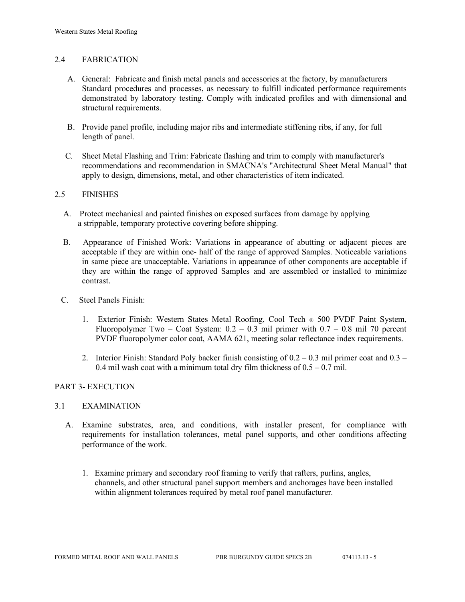## 2.4 FABRICATION

- A. General: Fabricate and finish metal panels and accessories at the factory, by manufacturers Standard procedures and processes, as necessary to fulfill indicated performance requirements demonstrated by laboratory testing. Comply with indicated profiles and with dimensional and structural requirements.
- B. Provide panel profile, including major ribs and intermediate stiffening ribs, if any, for full length of panel.
- C. Sheet Metal Flashing and Trim: Fabricate flashing and trim to comply with manufacturer's recommendations and recommendation in SMACNA's "Architectural Sheet Metal Manual" that apply to design, dimensions, metal, and other characteristics of item indicated.

## 2.5 FINISHES

- A. Protect mechanical and painted finishes on exposed surfaces from damage by applying a strippable, temporary protective covering before shipping.
- B. Appearance of Finished Work: Variations in appearance of abutting or adjacent pieces are acceptable if they are within one- half of the range of approved Samples. Noticeable variations in same piece are unacceptable. Variations in appearance of other components are acceptable if they are within the range of approved Samples and are assembled or installed to minimize contrast.
- C. Steel Panels Finish:
	- 1. Exterior Finish: Western States Metal Roofing, Cool Tech ® 500 PVDF Paint System, Fluoropolymer Two – Coat System:  $0.2 - 0.3$  mil primer with  $0.7 - 0.8$  mil 70 percent PVDF fluoropolymer color coat, AAMA 621, meeting solar reflectance index requirements.
	- 2. Interior Finish: Standard Poly backer finish consisting of  $0.2 0.3$  mil primer coat and  $0.3 -$ 0.4 mil wash coat with a minimum total dry film thickness of  $0.5 - 0.7$  mil.

## PART 3- EXECUTION

### 3.1 EXAMINATION

- A. Examine substrates, area, and conditions, with installer present, for compliance with requirements for installation tolerances, metal panel supports, and other conditions affecting performance of the work.
	- 1. Examine primary and secondary roof framing to verify that rafters, purlins, angles, channels, and other structural panel support members and anchorages have been installed within alignment tolerances required by metal roof panel manufacturer.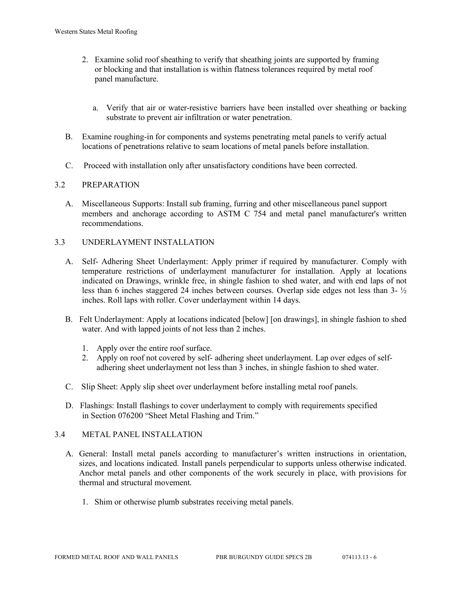- 2. Examine solid roof sheathing to verify that sheathing joints are supported by framing or blocking and that installation is within flatness tolerances required by metal roof panel manufacture.
	- a. Verify that air or water-resistive barriers have been installed over sheathing or backing substrate to prevent air infiltration or water penetration.
- B. Examine roughing-in for components and systems penetrating metal panels to verify actual locations of penetrations relative to seam locations of metal panels before installation.
- C. Proceed with installation only after unsatisfactory conditions have been corrected.

## 3.2 PREPARATION

- A. Miscellaneous Supports: Install sub framing, furring and other miscellaneous panel support members and anchorage according to ASTM C 754 and metal panel manufacturer's written recommendations.
- 3.3 UNDERLAYMENT INSTALLATION
	- A. Self- Adhering Sheet Underlayment: Apply primer if required by manufacturer. Comply with temperature restrictions of underlayment manufacturer for installation. Apply at locations indicated on Drawings, wrinkle free, in shingle fashion to shed water, and with end laps of not less than 6 inches staggered 24 inches between courses. Overlap side edges not less than  $3-<sup>1</sup>/<sub>2</sub>$ inches. Roll laps with roller. Cover underlayment within 14 days.
	- B. Felt Underlayment: Apply at locations indicated [below] [on drawings], in shingle fashion to shed water. And with lapped joints of not less than 2 inches.
		- 1. Apply over the entire roof surface.
		- 2. Apply on roof not covered by self- adhering sheet underlayment. Lap over edges of self adhering sheet underlayment not less than 3 inches, in shingle fashion to shed water.
	- C. Slip Sheet: Apply slip sheet over underlayment before installing metal roof panels.
	- D. Flashings: Install flashings to cover underlayment to comply with requirements specified in Section 076200 "Sheet Metal Flashing and Trim."

## 3.4 METAL PANEL INSTALLATION

- A. General: Install metal panels according to manufacturer's written instructions in orientation, sizes, and locations indicated. Install panels perpendicular to supports unless otherwise indicated. Anchor metal panels and other components of the work securely in place, with provisions for thermal and structural movement.
	- 1. Shim or otherwise plumb substrates receiving metal panels.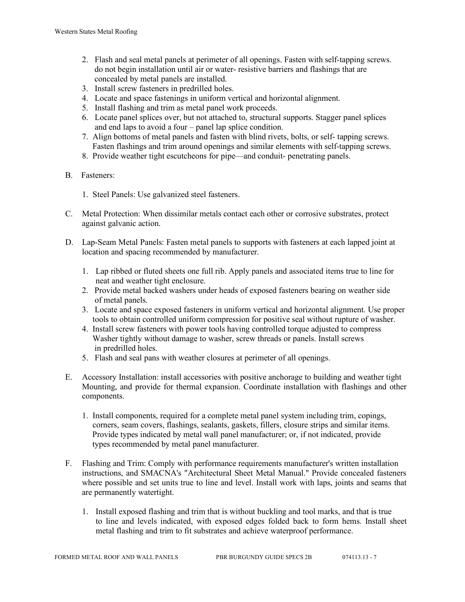- 2. Flash and seal metal panels at perimeter of all openings. Fasten with self-tapping screws. do not begin installation until air or water- resistive barriers and flashings that are concealed by metal panels are installed.
- 3. Install screw fasteners in predrilled holes.
- 4. Locate and space fastenings in uniform vertical and horizontal alignment.
- 5. Install flashing and trim as metal panel work proceeds.
- 6. Locate panel splices over, but not attached to, structural supports. Stagger panel splices and end laps to avoid a four – panel lap splice condition.
- 7. Align bottoms of metal panels and fasten with blind rivets, bolts, or self- tapping screws. Fasten flashings and trim around openings and similar elements with self-tapping screws.
- 8. Provide weather tight escutcheons for pipe—and conduit- penetrating panels.
- B. Fasteners:
	- 1. Steel Panels: Use galvanized steel fasteners.
- C. Metal Protection: When dissimilar metals contact each other or corrosive substrates, protect against galvanic action.
- D. Lap-Seam Metal Panels: Fasten metal panels to supports with fasteners at each lapped joint at location and spacing recommended by manufacturer.
	- 1. Lap ribbed or fluted sheets one full rib. Apply panels and associated items true to line for neat and weather tight enclosure.
	- 2. Provide metal backed washers under heads of exposed fasteners bearing on weather side of metal panels.
	- 3. Locate and space exposed fasteners in uniform vertical and horizontal alignment. Use proper tools to obtain controlled uniform compression for positive seal without rupture of washer.
	- 4. Install screw fasteners with power tools having controlled torque adjusted to compress Washer tightly without damage to washer, screw threads or panels. Install screws in predrilled holes.
	- 5. Flash and seal pans with weather closures at perimeter of all openings.
- E. Accessory Installation: install accessories with positive anchorage to building and weather tight Mounting, and provide for thermal expansion. Coordinate installation with flashings and other components.
	- 1. Install components, required for a complete metal panel system including trim, copings, corners, seam covers, flashings, sealants, gaskets, fillers, closure strips and similar items. Provide types indicated by metal wall panel manufacturer; or, if not indicated, provide types recommended by metal panel manufacturer.
- F. Flashing and Trim: Comply with performance requirements manufacturer's written installation instructions, and SMACNA's "Architectural Sheet Metal Manual." Provide concealed fasteners where possible and set units true to line and level. Install work with laps, joints and seams that are permanently watertight.
	- 1. Install exposed flashing and trim that is without buckling and tool marks, and that is true to line and levels indicated, with exposed edges folded back to form hems. Install sheet metal flashing and trim to fit substrates and achieve waterproof performance.